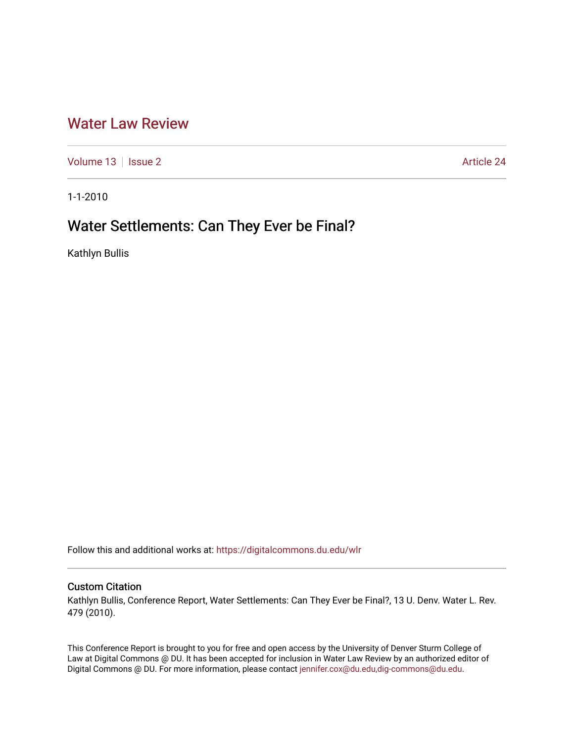## [Water Law Review](https://digitalcommons.du.edu/wlr)

[Volume 13](https://digitalcommons.du.edu/wlr/vol13) | [Issue 2](https://digitalcommons.du.edu/wlr/vol13/iss2) Article 24

1-1-2010

# Water Settlements: Can They Ever be Final?

Kathlyn Bullis

Follow this and additional works at: [https://digitalcommons.du.edu/wlr](https://digitalcommons.du.edu/wlr?utm_source=digitalcommons.du.edu%2Fwlr%2Fvol13%2Fiss2%2F24&utm_medium=PDF&utm_campaign=PDFCoverPages) 

## Custom Citation

Kathlyn Bullis, Conference Report, Water Settlements: Can They Ever be Final?, 13 U. Denv. Water L. Rev. 479 (2010).

This Conference Report is brought to you for free and open access by the University of Denver Sturm College of Law at Digital Commons @ DU. It has been accepted for inclusion in Water Law Review by an authorized editor of Digital Commons @ DU. For more information, please contact [jennifer.cox@du.edu,dig-commons@du.edu](mailto:jennifer.cox@du.edu,dig-commons@du.edu).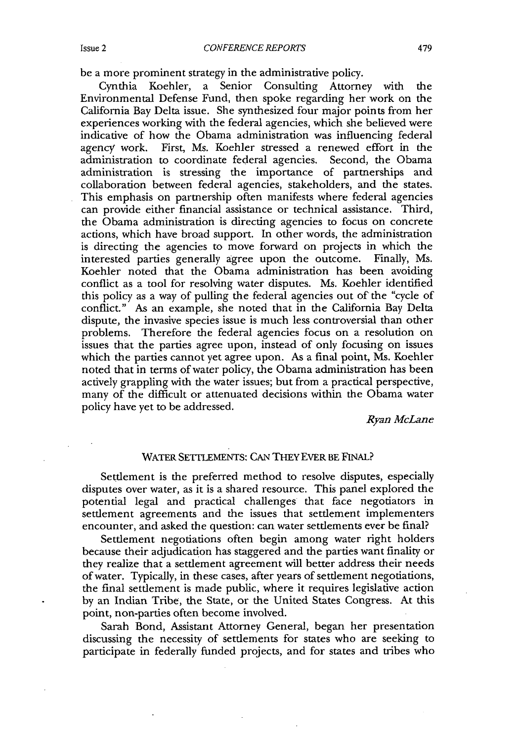be a more prominent strategy in the administrative policy.

Cynthia Koehler, a Senior Consulting Attorney with the Environmental Defense Fund, then spoke regarding her work on the California Bay Delta issue. She synthesized four major points from her experiences working with the federal agencies, which she believed were indicative of how the Obama administration was influencing federal agency work. First, Ms. Koehler stressed a renewed effort in the administration to coordinate federal agencies. Second, the Obama administration is stressing the importance of partnerships and collaboration between federal agencies, stakeholders, and the states. This emphasis on partnership often manifests where federal agencies can provide either financial assistance or technical assistance. Third, the Obama administration is directing agencies to focus on concrete actions, which have broad support. In other words, the administration is directing the agencies to move forward on projects in which the interested parties generally agree upon the outcome. Finally, Ms. interested parties generally agree upon the outcome. Koehler noted that the Obama administration has been avoiding conflict as a tool for resolving water disputes. Ms. Koehler identified this policy as a way of pulling the federal agencies out of the "cycle of conflict." As an example, she noted that in the California Bay Delta dispute, the invasive species issue is much less controversial than other problems. Therefore the federal agencies focus on a resolution on issues that the parties agree upon, instead of only focusing on issues which the parties cannot yet agree upon. As a final point, Ms. Koehler noted that in terms of water policy, the Obama administration has been actively grappling with the water issues; but from a practical perspective, many of the difficult or attenuated decisions within the Obama water policy have yet to be addressed.

*Ryan McLane*

#### WATER SETTLEMENTS: CAN THEY EVER BE FINAL?

Settlement is the preferred method to resolve disputes, especially disputes over water, as it is a shared resource. This panel explored the potential legal and practical challenges that face negotiators in settlement agreements and the issues that settlement implementers encounter, and asked the question: can water settlements ever be final?

Settlement negotiations often begin among water right holders because their adjudication has staggered and the parties want finality or they realize that a settlement agreement will better address their needs of water. Typically, in these cases, after years of settlement negotiations, the final settlement is made public, where it requires legislative action by an Indian Tribe, the State, or the United States Congress. At this point, non-parties often become involved.

Sarah Bond, Assistant Attorney General, began her presentation discussing the necessity of settlements for states who are seeking to participate in federally funded projects, and for states and tribes who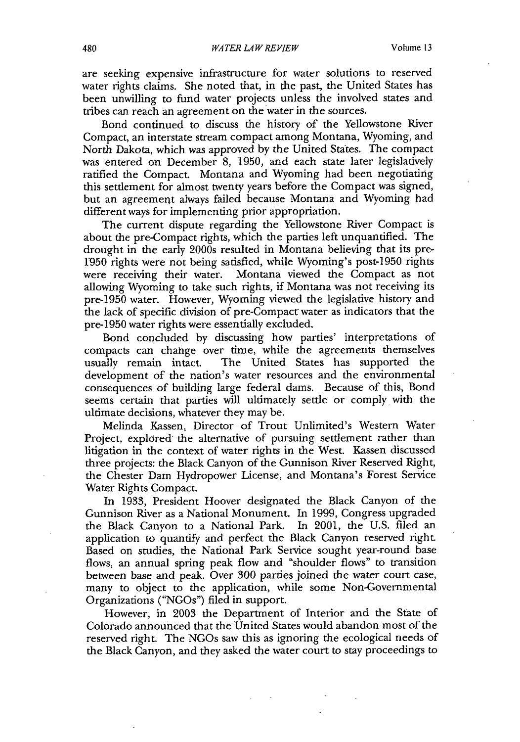are seeking expensive infrastructure for water solutions to reserved water rights claims. She noted that, in the past, the United States has been unwilling to fund water projects unless the involved states and tribes can reach an agreement on the water in the sources.

Bond continued to discuss the history of the Yellowstone River Compact, an interstate stream compact among Montana, Wyoming, and North Dakota, which was approved by the United States. The compact was entered on December 8, 1950, and each state later legislatively ratified the Compact. Montana and Wyoming had been negotiating this settlement for almost twenty years before the Compact was signed, but an agreement always failed because Montana and Wyoming had different ways for implementing prior appropriation.

The current dispute regarding the Yellowstone River Compact is about the pre-Compact rights, which the parties left unquantified. The drought in the early 2000s resulted in Montana believing that its pre-1950 rights were not being satisfied, while Wyoming's post-1950 rights were receiving their water. Montana viewed the Compact as not allowing Wyoming to take such rights, if Montana was not receiving its pre-1950 water. However, Wyoming viewed the legislative history and the lack of specific division of pre-Compact water as indicators that the pre-1950 water rights were essentially excluded.

Bond concluded by discussing how parties' interpretations of compacts can change over time, while the agreements themselves usually remain intact. The United States has supported the development of the nation's water resources and the environmental consequences of building large federal dams. Because of this, Bond seems certain that parties will ultimately settle or comply with the ultimate decisions, whatever they may be.

Melinda Kassen, Director of Trout Unlimited's Western Water Project, explored the alternative of pursuing settlement rather than litigation in the context of water rights in the West. Kassen discussed three projects: the Black Canyon of the Gunnison River Reserved Right, the Chester Dam Hydropower License, and Montana's Forest Service Water Rights Compact.

In 1933, President Hoover designated the Black Canyon of the Gunnison River as a National Monument. In 1999, Congress upgraded the Black Canyon to a National Park. In 2001, the U.S. **filed** an application to quantify and perfect the Black Canyon reserved right. Based on studies, the National Park Service sought year-round base flows, an annual spring peak flow and "shoulder flows" to transition between base and peak. Over 300 parties joined the water court case, many to object to the application, while some Non-Governmental Organizations ("NGOs") filed in support.

However, in 2003 the Department of Interior and the State of Colorado announced that the United States would abandon most of the reserved right. The NGOs saw this as ignoring the ecological needs of the Black Canyon, and they asked the water court to stay proceedings to